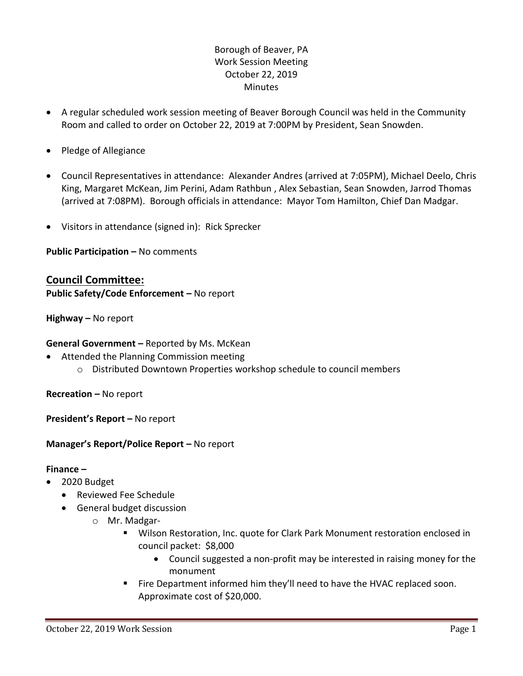## Borough of Beaver, PA Work Session Meeting October 22, 2019 **Minutes**

- A regular scheduled work session meeting of Beaver Borough Council was held in the Community Room and called to order on October 22, 2019 at 7:00PM by President, Sean Snowden.
- Pledge of Allegiance
- Council Representatives in attendance: Alexander Andres (arrived at 7:05PM), Michael Deelo, Chris King, Margaret McKean, Jim Perini, Adam Rathbun , Alex Sebastian, Sean Snowden, Jarrod Thomas (arrived at 7:08PM). Borough officials in attendance: Mayor Tom Hamilton, Chief Dan Madgar.
- Visitors in attendance (signed in): Rick Sprecker

**Public Participation –** No comments

# **Council Committee:**

**Public Safety/Code Enforcement –** No report

**Highway –** No report

### **General Government –** Reported by Ms. McKean

- Attended the Planning Commission meeting
	- o Distributed Downtown Properties workshop schedule to council members

**Recreation –** No report

**President's Report –** No report

### **Manager's Report/Police Report –** No report

#### **Finance –**

- 2020 Budget
	- Reviewed Fee Schedule
	- General budget discussion
		- o Mr. Madgar-
			- Wilson Restoration, Inc. quote for Clark Park Monument restoration enclosed in council packet: \$8,000
				- Council suggested a non-profit may be interested in raising money for the monument
			- Fire Department informed him they'll need to have the HVAC replaced soon. Approximate cost of \$20,000.